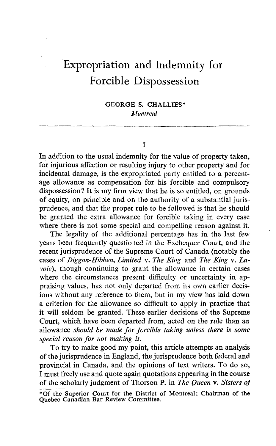# Expropriation and Indemnity for Forcible Dispossession

GEORGE S. CHALLIES\* Montreal

T

In addition to the usual indemnity for the value of property taken, for injurious affection or resulting injury to other property and for incidental damage, is the expropriated party entitled to a percentage allowance as compensation for his forcible and compulsory dispossession? It is my firm view that he is so entitled, on grounds of equity, on principle and on the authority of a substantial jurisprudence, and that the proper rule to be followed is that he should be granted the extra allowance for forcible taking in every case where there is not some special and compelling reason against it.

The legality of the additional percentage has in the last few years been frequently questioned in the Exchequer Court, and the recent jurisprudence of the Supreme Court of Canada (notably the cases of Diggon-Hibben, Limited v. The King and The King v. Lavoie), though continuing to grant the allowance in certain cases where the circumstances present difficulty or uncertainty in appraising values, has not only departed from its own earlier decisions without any reference to them, but in my view has laid down a criterion for the allowance so difficult to apply in practice that it will seldom be granted. These earlier decisions of the Supreme Court, which have been departed from, acted on the rule than an allowance should be made for forcible taking unless there is some special reason for not making it.

To try to make good my point, this article attempts an analysis of the jurisprudence in England, the jurisprudence both federal and provincial in Canada, and the opinions of text writers. To do so, I must freely use and quote again quotations appearing in the course of the scholarly judgment of Thorson P. in The Queen v. Sisters of \*Of the Superior Court for the District of Montreal; Chairman of the

Quebec Canadian Bar Review Committee.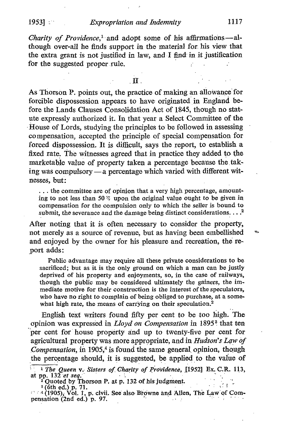## $19531$   $\therefore$  Expropriation and Indemnity 1117

Charity of Providence,<sup>1</sup> and adopt some of his affirmations-although over-all he finds support in the material for. his view that the extra grant is not justified in law, and I find in it justification for the suggested proper rule.

As Thorson P. points out, the practice of making an allowance for forcible dispossession appears to have originated in England before the Lands Clauses Consolidation Act of 1845, though no statute expressly authorized it . In that year a Select Committee of the Ifouse of Lords, studying the principles to be followed in assessing compensation, accepted the principle of special compensation for forced dispossession. It is difficult, says the report, to establish a fixed rate. The witnesses agreed that in practice they added to the marketable value of property taken a percentage because the taking was compulsory  $\overline{-a}$  percentage which varied with different witnesses, but:

. . . the committee are of opinion that a very high percentage, amounting to not less than 50  $\%$  upon the original value ought to be given in compensation for the compulsion only to which the seller is bound to submit, the severance and the damage being distinct considerations.  $\dots$ <sup>2</sup>

After noting that it is often necessary to consider the property, not merely as a source of revenue, but as having been embellished and enjoyed by the owner for his pleasure and recreation, the report adds

Public advantage may require all these private considerations to be sacrificed; but as it is the only ground on which a man can be justly deprived of his property and enjoyments, so, in the case of railways, though the public may be considered ultimately the gainers, the immediate motive for their construction is the interest of the speculators, who have no right to complain of being obliged to purchase, at a somewhat high rate, the means of carrying on their speculation. $2$ 

English text writers found fifty per cent to be too high. The opinion was expressed in *Lloyd on Compensation* in 1895<sup>3</sup> that ten per cent for house property and up to twenty-five per cent for agricultural property was more appropriate, and in Hudson's Law of Compensation, in  $1905<sup>4</sup>$  is found the same general, opinion, though the percentage should, it is suggested, be applied to the value of

a.

 $1$  The Queen v. Sisters of Charity of Providence, [1952] Ex. C.R. 113,

at pp. 132 et seq.<br>
<sup>2</sup> Quoted by Thorson P. at p. 132 of his judgment.<br>
<sup>3</sup> (6th ed.) p. 71.<br>
<sup>4</sup> (1905), Vol. 1, p. civii. See also Browne and Allen, The Law of Com-<br>
pensation (2nd ed.) p. 97.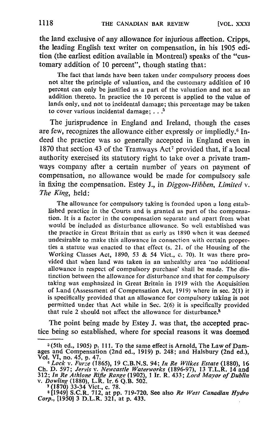the land exclusive of any allowance for injurious affection. Cripps, the leading English text writer on compensation, in his 1905 edition (the earliest edition available in Montreal) speaks of the "customary addition of 10 percent", though stating that:

The fact that lands have been taken under compulsory process does not alter the principle of valuation, and the customary addition of 10 percent can only be justified as a part of the valuation and not as an addition thereto. In practice the 10 percent is applied to the value of lands only, and not to incidental damage; this percentage may be taken to cover various incidental damage:  $\ldots$ <sup>5</sup>

The jurisprudence in England and Ireland, though the cases are few, recognizes the allowance either expressly or impliedly. $6$  Indeed the practice was so generally accepted in England even in 1870 that section 43 of the Tramways Act' provided that, if a local authority exercised its statutory right to take over a private tramways company after a certain number of years on payment of compensation, no allowance would be made for compulsory sale in fixing the compensation. Estey J., in Diggon-Hibben, Limited  $v$ . The King, held:

The allowance for compulsory taking is founded upon <sup>a</sup> long established practice in the Courts and is granted as part of the compensation. It is a factor in the compensation separate and apart from what would be included as disturbance allowance . So well established was the practice in Great Britain that as early as 1890 when it was deemed undesirable to make this allowance in connection with certain properties a statute was enacted to that effect (s. 21, of the Housing of the Working Classes Act, 1890, 53 & 54 Vict., c. 70). It was there provided that when land was taken in an unhealthy area `no additional allowance in respect of compulsory purchase' shall be made. The distinction between the allowance for disturbance and that for compulsory taking was emphasized in Great Britain in 1919 with the Acquisition of Land (Assessment of Compensation Act, 1919) where in sec . 2(1) it is specifically provided that an allowance for compulsory taking is not permitted under that Act while in Sec. 2(6) it is specifically provided that rule 2 should not affect the allowance for disturbance.<sup>8</sup>

The point being made by Estey J. was that, the accepted practice being so established, where for special reasons it was deemed

<sup>s</sup> (5th ed., 1905) p. <sup>111</sup> . To the same effect is Arnold, The Law of Damages and Compensation (2nd ed., 1919) p. 248, and Halsbury (2nd ed.), Vol. VI, no. 45, p. 47.

<sup>&</sup>lt;sup>6</sup> Lock v. Furze (1865), 19 C.B.N.S. 94; In Re Wilkes Estate (1880), 16<br>Ch. D. 597; Jervis v. Newcastle Waterworks (1896-97), 13 T.L.R. 14 and<br>312; In Re Athlone Rifle Range (1902), 1 Ir. R. 433; Lord Mayor of Dublin<br>202

v. *Dowling* (1880), L.R. Ir. 6 Q.B. 502.<br>
7 (1870) 33-34 Vict., c. 78.<br>
8 [1949] S.C.R. 712, at pp. 719-720. See also *Re West Canadian Hydro*<br>
Corp., [1950] 3 D.L.R. 321, at p. 433.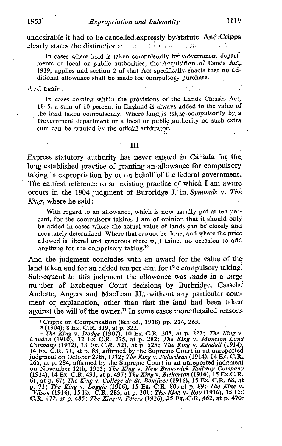undesirable it had to be cancelled expressly by statute. And Cripps clearly states the distinction clearly states the distinction..

In cases where land is taken compulsorily by Government departments or local or public authorities, the Acquisition of Lands Act, 1919, applies and section 2 of that Act specifically enacts that no additional allowance shall be made for compulsory purchase.

#### And again:

In cases coming within the provisions of the Lands Clauses Act;  $1845$ , a sum of 10 percent in England is always added to the value of the land taken compulsorily. Where land is taken compulsorily by a. Government department or a local or public authority no such extra sum can be granted by the official arbitrator. $9$ 

 $\mathbf{m}^{\pm}$ 

Express statutory authority has never existed in Canada for the long established practice of granting an allowance for compulsory taking in expropriation by or on behalf of the federal government. The earliest reference to an existing practice of which I am aware occurs in the 1904 judgment of Burbridge J. in Symonds v. The King, where he said :

With regard to an allowance, which is now usually put at ten percent, for the compulsory taking, <sup>I</sup> am of opinion that it should only be added in cases where the actual value of lands can be closely and accurately determined. Where that cannot be done, and where the price allowed is liberal and generous there is, I think, no occasion to add anything for the compulsory taking.10

And the judgment concludes with an award for the value of the land taken and for an added ten per cent for the compulsory taking. Subsequent to this judgment the allowance was made in a large number of Exchequer Court decisions by Burbridge, Cassels Audette, Angers and MacLean JJ., without any particular comment or explanation, other than that the land had been taken against the will of the owner.<sup>11</sup> In some cases more detailed reasons

<sup>9</sup> Cripps on Compensation (8th°ed., 1938) pp. 214, 265.<br><sup>10</sup> (1904); 8 Ex. C.R. 319, at p. 322.<br><sup>11</sup> *Clo. 33* Ex. C.R. 319, at p. 322. C.B. 308, at p. 323. *The King yi* 

<sup>11</sup> The King v. Dodge (1907), 10 Ex. C.R. 208, at p. 222; The King v. Condon (1910), 12 Ex. C.R. 275, at p. 282; The King v. Moncton Land,  $C_{\text{conv}}(1012)$ , 12 Ex. C.B. 531, at p. 535; The King v. Kandall (1914) Company (1912), 13 Ex. C.R. 521, at p. 525; The King v. Kendall (1914), 14 Ex. C.R. 71, at p. 85, affirmed by the Supreme Court in an unreported<br>independent of Ottober 2014, 1913,  $T_t$ , Kingan Edgards u.1914), 14 Ex. G.B. judgment on October 29th, 1912; The King v. Falardeau (1914), 14 Ex. C.R. 265, at p. 284, affirmed by the Supreme Court in an unreported judgment on November 12th, 1913; The King v. New Brunswick Railway Company Company (1914), 14 Ex. C.R. 491, at p. 497; The King v. Bickerton (1916), 15 Ex. C.R.<br>61, at p. 67; The King v. College de St. Boniface (1916), 15 Ex. C.R. 68, at p. 73; The King v. Loggie. (1916), 15 Ex. C:R. 80, at p. 89; The King v.<br>Wilson (1916), 15 Ex. C:R. 393, at p. 391; The King v. Boy (1916), 15 Ext. Wilson (1916), 15 Ex. C.R. 283, at p. 301; The King v. Roy (1916), 15 Ex!<br>C.R. 472, at p. 485; *The King v. Peters* (1916), 15 Ex. C.R. 462, at p. 470;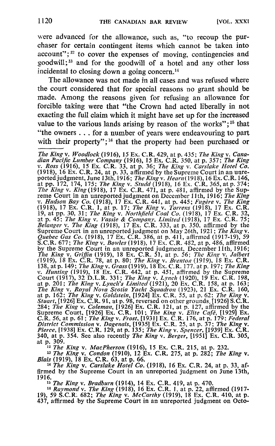were advanced for the allowance, such as, "to recoup the purchaser for certain contingent items which cannot be taken into  $account$ ";<sup>12</sup> to cover the expenses of moving, contingencies and goodwill;<sup>13</sup> and for the goodwill of a hotel and any other loss incidental to closing down a going concern. $<sup>14</sup>$ </sup>

The allowance was not made in all cases and was refused where the court considered that for special reasons no grant should be made. Among the reasons given for refusing an allowance for forcible taking were that "the Crown had acted liberally in not exacting the full claim which it might have set up for the increased value to the various lands arising by reason of the works"; $15$  that "the owners . . . for a number of years were endeavouring to part with their property";<sup>16</sup> that the property had been purchased or

The King v. Woodlock (1916), <sup>15</sup> Ex. C.R. 429, at p. 435; The King v. Canadian Pacific Lumber Company (1916), 15 Ex. C.R. 350, at p. 357; The King v. Ross (1916), 15 Ex. C.R. 33, at p. 36; The King v. Carslake Hotel Co. (1918), 16 Ex. C.R. 24, at p. 33, affirmed by the Supreme Court in an unreported judgment, June 13th, 1916; The King v. Hearn(1918), 16 Ex. C.R. 146, at pp. 172, 174,  $\frac{1}{2}$ <br>at pp. 172, 174, 175; The King v. Studd (1918), 16 Ex. C.R. 365, at p. 374;<br>The King V. King (1918), 17 F. The King v. King (1918), 17 Ex. C.R. 471, at p. 481, affirmed by the Sup-<br>reme Court in an unreported judgment on December 11th, 1916; The King<br>v. Hudson Bay Co. (1918), 17 Ex. C.R. 441, at p. 445; Fugère v. The King (1918), <sup>17</sup> Ex. C.R. 1, at p. 17, The King v. Torrens (1918), <sup>17</sup> Ex. C.R. 19, at pp. 30, 31; The King v. Northfield Coal Co. (1918), 17 Ex. C.R. 32, at p. 45; The King v. Vassie & Company, Limited (1918), 17 Ex. C.R. 75; Belanger v. The King (1918), 17 Ex. C.R. 333, at p. 350, affirmed by the Supreme Court in an unreported judgment on May 26th, 1921; The King v.<br>Quebec Gas Co. (1918), 17 Ex. C. R. 386, at p. 411, affirmed (1917-19), 59  $\widetilde{S}$ .C.R. 677; The King v. Bowles (1918), 17 Ex. C.R. 482, at p. 486, affirmed by the Supreme Court in an unreported judgment, December 11th, 1916;<br>The King v. Griffin (1919), 18 Ex. C.R. 51, at p. 56; The King v. Jalbert<br>(1910), 19 E. (1919), 18 Ex. C.R. 78, at p. 80; The King v. Brenton (1919), 18 Ex. C.R. 138, at p. 149; The King v. Grass (1919),  $18 \text{ Ex. C.R. } 177$ , at p. 197; The King<br>*Unities* (1919),  $18 \text{ F}$  G. R. 442, at p. 451, affermed by the Supports v. Hunting (1919), 18 Ex. C.R. 442, at p. 451, affirmed by the Supreme Court (1917), 32 D.L.R. 331; The King v. Lynch (1920), 19 Ex. C.R. 198, at p. 201; The King v. Lynch (1921), 20 Ex. C.R. 158, at p. 163; at p. 163; at Supreme Court, [1926] Ex. C.R. 101; The King v. Elite Café, [1929] Ex.<br>C.B. 56 at n. 51; The Kingx, Frest [1921] Ex. C.B. 176 at a 179; Federal C.R. 56, at p. 61; The King v. Frost, [1931] Ex. C.R. 176, at p. 179; Federal<br>District Commission v. Dagenals, [1935] Ex. C.R. 25, at p. 37; The King v.<br>Pieree 119381 Ey. C.P. 139, at p. 135; The King v. Saanger 119391 Ey

*Pierce*, [1938] Ex. C.R. 129, at p. 135; The King v. Spencer, [1939] Ex. C.R. 340, at p. 354. See also recently The King v. Berger, [1951] Ex. C.R. 305, at p. 309.<br>
<sup>12</sup> The King v. MacPherson (1916), 15 Ex. C.R. 215, at 1916.<br><sup>15</sup> *The King v. Bradburn* (1914), 14 Ex. C.R. 419, at p. 470.<br> $\frac{15}{16}$  *The King Vine (1918)* 16 Ex. C.R. 1, at p. 22, affi

<sup>16</sup> Raymond v. The King (1918), 16 Ex. C.R. 1, at p. 22, affirmed (1917-<br>19), 59 S.C.R. 682; The King v. McCarthy (1919), 18 Ex. C.R. 410, at p.<br>437, affirmed by the Supreme Court in an unreported judgment on Octo-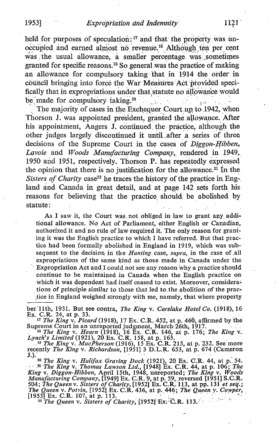held for purposes of speculation:  $17$  and that the property was unoccupied and earned almost no revenue.<sup>18</sup> Although ten per cent was the usual allowance, a smaller percentage was sometimes granted for specific reasons.<sup>19</sup> So general was the practice of making an allowance for compulsory taking that in 1914 the order in council bringing into force the War Measures Act provided specifically that in expropriations under that statute no allowance would be made for compulsory taking.<sup>20</sup>

The majority of cases in the Exchequer Court up to 1942, when Thorson J. was appointed president, granted the allowance. After his appointment, Angers J. continued . the practice, although the other judges largely discontinued it until after a series of three decisions of the Supreme Court in the cases of Diggon-Hibben, Lavoie and Woods Manufacturing Company, rendered in 1949, 1950 and 1951, respectively. Thorson P. has repeatedly expressed the opinion that there is no justification for the allowance. $21$  In the Sisters of Charity case<sup>22</sup> he traces the history of the practice in England and Canada in great detail, and at page 142 sets forth his reasons for believing that the practice, should be abolished by statute:

As I saw it, the Court was not obliged in law to grant any additional allowance. No Act of Parliament, either English or Canadian, authorized it and no rule of law required it . The only reason for granting it was the English practice to which <sup>I</sup> have referred. But that practice had been formally abolished in England in 1919, which was subsequent to the decision in the Hunting case, supra, in the case of all expropriations of the same kind as those made in Canada under the Expropriation Act and I could not see any reason why a practice should continue to be maintained in Canada when the English practice on which it was dependent had itself ceased to exist. Moreover, considerations of principle similar to those that led to.the abolition of the practice in England weighed strongly with me, namely, that where property

ber 11th, 1931. But see contra, *The King v. Carslake Hotel Co.* (1918), 16<br>Ex. C.R. 24, at p. 33.<br><sup>17</sup> The King v. Picard (1918), 17 Ex. C.R. 452, at p. 460, affirmed by the<br>Supreme Court in an unreported judgment, March

*Lynch's Limited* (1921), 20 Ex. C.R. 158, at p. 163.

<sup>19</sup> The King v. MacPherson (1916), 15 Ex. C.R. 215, at p. 232. See more<br>recently *The King v. Richardson*, [1951] 3 D.L.R. 653, at p. 674 (Cameron<br>1

J.).<br><sup>20</sup> The King v. Halifax Graving Dock (1921), 20 Ex. C.R. 44, at p. 54.<br><sup>21</sup> The King v. Tharnes I was 1, 1961, The C.R. 44, at p. 1964. The <sup>21</sup> The King v. Thomas Lawson Ltd., [1948] Ex. C.R. 44, at p. 106; The King v. Diggon-Hibben, April 15th, 1948, unreported; The King v. Woods Manufacturing Company, [1949] Ex. C.R. 9, at p. 59, reversed [1951] S.C.R. 504 The Queen v. Potvin, [1952] Ex. C.R. 436, at p. 446; The Queen y. Cowpér,<br>[1953] Ex. C.R. 107, at p. 113.<br>[1953] Ex. C.R. 107, at p. 113. <sup>18</sup> The King v. Hearn (1918), 16 Ex. C.R. 146, at p. 176<br> *Lynch's Limited* (1921), 20 Ex. C.R. 158, at p. 163.<br>
<sup>19</sup> The King v. MacPherson (1916), 15 Ex. C.R. 215, at p.<br>
recently The King v. Richardson, [1951] 3 D.L.R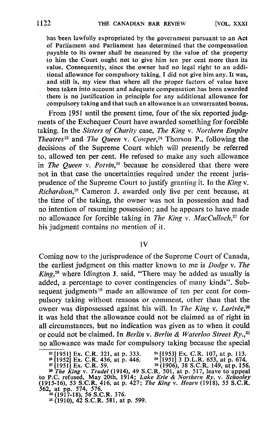has been lawfully expropriated by the government pursuant to an Act of Parliament and Parliament has determined that the compensation payable to its owner shall be measured by the value of the property to him the Court ought not to give him ten per cent more than its value. Consequently, since the owner had no legal right to an additional allowance for, compulsory taking, I did not give him any. It was, and still is, my view that where all the proper factors of value have been taken into account and adequate compensation has been awarded there is no justification in principle for any additional allowance for compulsory taking and that such an allowance is an unwarranted bonus.

From 1951 until the present time, four of the six reported judgments of the Exchequer Court have awarded something for forcible taking. In the Sisters of Charity case, The King v. Northern Empire Theatres<sup>23</sup> and The Queen v. Cowper,<sup>24</sup> Thorson P., following the decisions of the Supreme Court which will presently be referred to, allowed ten per cent. He refused to make any such allowance in The Queen v. Potvin,<sup>25</sup> because he considered that there were not in that case the uncertainties required under the recent jurisprudence of the Supreme Court to justify granting it. In the King v. Richardson,<sup>26</sup> Cameron J. awarded only five per cent because, at the time of the taking, the owner was not in possession and had no intention of resuming possession ; and he appears to have made no allowance for forcible taking in The King v. MacCulloch, $27$  for his judgment contains no mention of it .

IV

Coming now to the jurisprudence of the Supreme Court of Canada, the earliest judgment on this matter known to me is Dodge v. The  $King<sub>1</sub><sup>28</sup>$  where Idington J. said, "There may be added as usually is added, a percentage to cover contingencies of many kinds". Subsequent judgments<sup>29</sup> made an allowance of ten per cent for compulsory taking without reasons or comment, other than that the owner was dispossessed against his will. In The King v. Larivée,<sup>30</sup> it was held that the allowance could not be claimed as of right in all circumstances, but no indication was given as to when it could or could not be claimed. In Berlin v. Berlin & Waterloo Street Ry.,<sup>31</sup> no allowance was made for compulsory taking because the special

 $^{23}$  [1951] Ex. C.R. 321, at p. 333.  $^{24}$  [1953] Ex. C.R. 107, at p. 113.

 $26$  [1951] 3 D.L.R. 653, at p. 674.

<sup>27</sup> [1951] Ex. C.R. 59.<br><sup>28</sup> (1906), 38 S.C.R. 149, at p. 156.<br><sup>29</sup> The King v. Trudel (1914), 49 S.C.R. 501, at p. 517, leave to appeal<br>to P.C. refused, May 20th, 1914; *Lake Erie & Northern Ry.* v. *Schooley*<br>(1915-16) 562, at pp. 574, 576. <sup>30</sup> (1917-18), 56 S.C.R. 376.

 $^{28}$ [1951] Ex. C.R. 321, at p. 333.<br>  $^{26}$ [1952] Ex. C.R. 436, at p. 446.<br>  $^{27}$ [1951] Ex. C.R. 59.

<sup>31</sup> (1910), 42 S.C.R. 581, at p. 599.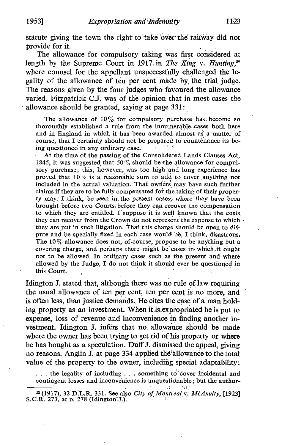statute giving the town the right to take over the railway did not provide for it.

The allowance for compulsory taking was first considered at length by the Supreme Court in 1917 in The King v. Hunting, $32$ where counsel for the appellant unsuccessfully challenged the legality of the allowance of ten per cent made by, the trial judge. The reasons given by the four judges who favoured the allowance varied. Fitzpatrick C.J. was of the opinion that in most cases the allowance should be granted, saying at page 331 :

The allowance of  $10\%$  for compulsory purchase has. become so thoroughly established a rule from the innumerable cases both here and in England in which it has been awarded almost as a matter of course, that I certainly should not be prepared 'to countenance its being questioned in any ordinary case.

At the time of the passing of the Consolidated Lands Clauses Act, 1845, it was suggested that 50 $\%$  should be the allowance for compulsory purchase; this, however, was too high and long experience has proved that 10  $\frac{7}{4}$  is a reasonable sum to add to cover anything not included in the actual valuation. That owners may have such further claims if they are to be fully compensated for the taking of their property may, I think, be seen in the present cases, where they have been brought before two Courts. before they can recover the compensation to which they are entitled. I suppose it is well known that the costs they can recover from the Crown do not represent the expense to which they are put in such litigation. That this charge should be open to dispute and be specially fixed in each case would be, I think, disastrous. The  $10\%$  allowance does not, of course, propose to be anything but a covering charge, and perhaps there might be'cases in which-it ought not to be allowed. In ordinary cases such as the present and where allowed by the Judge, <sup>I</sup> do not think it should ever be questioned in this Court.

Idington J. stated that, although there was no rule of law requiring the usual allowance of ten per cent, ten per cent is no more, and is often less, than justice demands. He cites the case of a man holding property as an investment. When it is expropriated he is put to expense, loss of revenue and inconvenience in finding another investment. Idington J. infers that no. allowance should be made where the owner has been trying to get rid of his property or where he has bought as a speculation. Duff J. dismissed the appeal, giving no reasons. Anglin J. at page 334 applied the allowance to the total value of the property to the owner, including special adaptability:

... the legality of including ... something to cover incidental and contingent losses and inconvenience is unquestionable; but the author-

<sup>32 (1917), 32</sup> D.L.R. 331. See also City of Montreal v. McAnulty, [1923] S.C.R.  $273$ , at p. 278 (Idington: J.).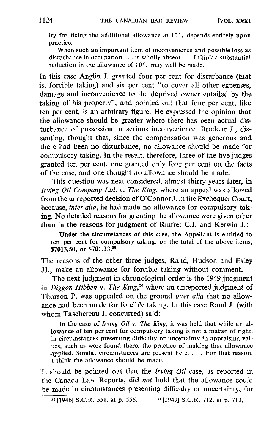ity for fixing the additional allowance at  $10<sup>c</sup>$ , depends entirely upon practice .

When such an important item of inconvenience and possible loss as disturbance in occupation . . . is wholly absent . . . <sup>I</sup> think <sup>a</sup> substantial reduction in the allowance of  $10\%$  may well be made.

In this case Anglin J. granted four per cent for disturbance (that is, forcible taking) and six per cent "to cover all other expenses, damage and inconvenience to the deprived owner entailed by the taking of his property", and pointed out that four per cent, like ten per cent, is an arbitrary figure. He expressed the opinion that the allowance should be greater where there has been actual disturbance of possession or serious inconvenience . Brodeur J., dissenting, thought that, since the compensation was generous and there had been no disturbance, no allowance should be made for compulsory taking. In the result, therefore, three of the five judges granted ten per cent, one granted only four per cent on the facts of the case, and one thought no allowance should be made.

This question was next considered, almost thirty years later, in Irving Oil Company Ltd. v. The King, where an appeal was allowed from the unreported decision of O'ConnorJ. in the Exchequer Court, because, inter alia, he had made no allowance for compulsory taking. No detailed reasons for granting the allowance were given other than in the reasons for judgment of Rinfret C.J. and Kerwin J.:

Under the circumstances of this case, the Appellant is entitled to ten per cent for compulsory taking, on the total of the above items, \$7013.50, or \$701.33.<sup>33</sup>

The reasons of the other three judges, Rand, Hudson and Estey J. make an allowance for forcible taking without comment.

The next judgment in chronological order is the 1949 judgment in Diggon-Hibben v. The King, $34$  where an unreported judgment of Thorson P, was appealed on the ground *inter alia* that no allowance had been made for forcible taking. In this case Rand J. (with whom Taschereau J. concurred) said:

In the case of Irving Oil v. The King, it was held that while an allowance of ten per cent for compulsory taking is not a matter of right, in circumstances presenting difficulty or uncertainty in appraising val- , ues, such as were found there, the practice of making that allowance applied. Similar circumstances are present here.  $\ldots$ . For that reason, <sup>I</sup> think the allowance should be made.

It should be pointed out that the *Irving Oil* case, as reported in the Canada Law Reports, did not hold that the allowance could be made in circumstances presenting difficulty or uncertainty, for

 $33$  [1946] S.C.R. 551, at p. 556.  $34$  [1949] S.C.R. 712, at p. 713,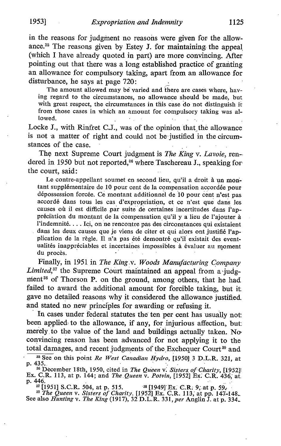in the reasons for judgment no reasons were given for the allowance.<sup>35</sup> The reasons given by Estey J. for maintaining the appeal (which I have already quoted in part) are more convincing. After pointing out that there was a long established practice of granting an allowance for compulsory taking, apart from an allowance for disturbance, he says at page 720:

The amount allowed may be varied and there are cases where, having regard to the circumstances, no allowance should be made, but with great respect, the circumstances in this case do not distinguish it from those cases in which an amount for compulsory taking was allowed.

Locke J., with Rinfret C.J., was of the opinion that thé allowance is not a matter of right and could not be justified in the circumstances of the case.

The next Supreme Court judgment is The King v. Lavoie, rendered in 1950 but not reported,<sup>36</sup> where Taschereau J., speaking for the court, said:

Le contre-appellant soumet en second lieu, qu'il a droit à un montant supplémentaire de 10 pour cent de la compensation accordée pour dépossession forcée . Ce montant additionnel de 10 pour cent <sup>n</sup>'est pas accordé dans tous les cas d'expropriation, et ce n'est que dans les causes où il est difficile par suite de certaines incertitudes dans l'appréciation du montant de la compensation qu'il y a lieu de l'ajouter à l'indemnité. . . . Ici, on ne rencontre pas des circonstances qui existaient dans les deux causes que je viens de citer et qui alors ont justifié l'application de la règle. Il n'a pas été demontré qu'il existait des eventualités inappréciables et incertaines impossibles à évaluer au moment du procès.

Finally, in 1951 in The King-v. Woods Manufacturing Company Limited,<sup>37</sup> the Supreme Court maintained an appeal from a judgment<sup>38</sup> of Thorson P. on the ground, among others, that he had failed to award the additional amount for forcible taking, but it gave no detailed reasons why it considered the allowance justified and stated no new principles for awarding or refusing it.

In cases under federal statutes the ten per cent has usually not been applied to the allowance, if any, for injurious affection, but: merely to the value of the land and buildings actually taken. No convincing reason has been advanced for not applying it to the total damages, and recent judgments of the Exchequer Court<sup>39</sup> and

<sup>37</sup> [1951] S.C.R. 504, at p. 515. <sup>38</sup> [1949] Ex. C.R. 9; at p. 59, <sup>39</sup> *The Queen v. Sisters of Charity*, [1952] Ex. C.R. 113, at pp. 147-148. See also *Hunting v. The King* (1917), 32 D.L.R. 331, *per* Anglin J. at p.

 $\overline{\text{35}$  See on this point *Re West Canadian Hydro*, [1950] 3 D.L.R. 321, at p. 435.

<sup>&</sup>lt;sup>36</sup> December 18th, 1950, cited in *The Queen v. Sisters of Charity*,  $[1952]$ Ex. C.R. 113, at p. 144; and The Queen v. Potvin, [1952] Ex. C.R. 436, at p. 446.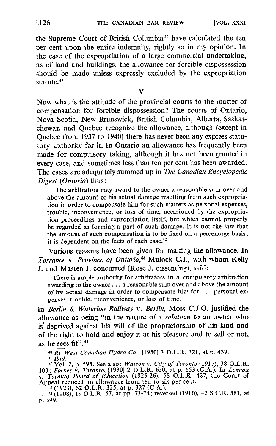the Supreme Court of British Columbia" have calculated the ten per cent upon the entire indemnity, rightly so in my opinion. In the case of the expropriation of a large commercial undertaking, as of land and buildings, the allowance for forcible dispossession should be made unless expressly excluded by the expropriation statute.<sup>41</sup>

V

Now what is the attitude of the provincial courts to the matter of compensation for forcible dispossession? The courts of Ontario, Nova Scotia, New Brunswick, British Columbia, Alberta, Saskatchewan and Quebec recognize the allowance, although (except in Quebec from 1937 to 1940) there has never been any express statutory authority for it. In Ontario an allowance has frequently been made for compulsory taking, although it has not been granted in every case, and sometimes less than ten per cent has been awarded. The cases are adequately summed up in The Canadian Encyclopedic Digest (Ontario) thus:

The arbitrators may award to the owner a reasonable sum over and above the amount of his actual damage resulting from such expropriation in order to compensate him for such matters as personal expenses, trouble, inconvenience, or loss of time, occasioned by the expropriation proceedings and expropriation itself, but which cannot properly be regarded as forming a part of such damage. It is not the law that the amount of such compensation is to be fixed on a percentage basis ; it is dependent on the facts of each case.<sup>42</sup>

Various reasons have been given for making the allowance. In Torrance v. Province of Ontario,<sup>43</sup> Mulock C.J., with whom Kelly J. and Masten J. concurred (Rose J. dissenting), said :

There is ample authority for arbitrators in a compulsory arbitration awarding to the owner . . . <sup>a</sup> reasonable sum over and above the amount of his actual damage in order to compensate him for . . . personal expenses, trouble, inconvenience, or loss of time.

In Berlin & Waterloo Railway v. Berlin, Moss C.J.O. justified the allowance as being "in the nature of a solatium to an owner who is deprived against his will of the proprietorship of his land and of the right to hold and enjoy it at his pleasure and to sell or not, as he sees fit".<sup>44</sup>

 $\frac{40 \text{ } \text{Re} \text{ } \text{West} \text{ Canadian Hydro Co., } [1950] \text{ } 3 \text{ D.L.R. } 321, \text{ at p. } 439.$ 

<sup>11</sup> *Ibid.*<br>
<sup>42</sup> Vol. 2, p. 595. See also: *Watson v. City of Toronto* (1917), 38 O.L.R.<br>
103; *Forbes v. Toronto*, [1930] 2 D.L.R. 650, at p. 653 (C.A.). In *Lennox*<br> *v. Toronto Board of Education* (1925-26), 58 O.L.R

Appeal reduced an allowance from ten to six per cent.<br>
<sup>43</sup> (1923), 52 O.L.R. 325, at p. 327 (C.A.).<br>
<sup>44</sup> (1908), 19 O.L.R. 57, at pp. 73-74; reversed (1910), 42 S.C.R. 581, at p. 599.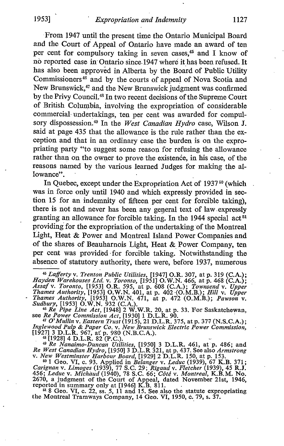From 1947 until the present time the Ontario Municipal Board and the Court of Appeal of Ontario have made an award of ten per cent for compulsory taking in seven cases, $45$  and I know of no reported case in Ontario since 1947 where it has been refused. It has also been approved in Alberta by the Board of Public Utility Commissioners<sup>46</sup> and by the courts of appeal of Nova Scotia and New Brunswick,<sup>47</sup> and the New Brunswick judgment was confirmed by the Privy Council.<sup>48</sup> In two recent decisions of the Supreme Court of British Columbia, involving the expropriation of considerable commercial undertakings, ten per cent was awarded for compulsory dispossession.<sup>49</sup> In the West Canadian Hydro case, Wilson J. said at page 435 that the allowance is the rule rather than the exception and that in an ordinary case the burden is on the expropriating party "to suggest some reason for refusing the allowance rather than on the owner to prove the existence, in his case, of the reasons named by the various learned Judges for making the allowance".

In Quebec, except under the Expropriation Act of  $1937^{50}$  (which was in force only until 1940 and which expressly provided in section 15 for an indemnity of fifteen per cent for forcible taking), there is not and never has been any general text of law expressly granting an allowance for forcible taking. In the 1944 special act<sup>51</sup> providing for the expropriation of the undertaking of the Montreal Light, Heat & Power and Montreal Island Power Companies and of the shares of Beauharnois Light, Heat & Power Company, ten per cent was provided for forcible taking. Notwithstanding the absence of statutory authority, there were, before 1937, numerous absence of statutory authority, there were, before 1937, numerous

47 O'Mullin v. Eastern Trust (1915), 21 D.L.R. 375, at p. 377 (N.S.C.A.);<br>Inglewood Pulp & Paper Co. v. New Brunswick Electric Power Commission,<br>[1927] 3 D.L.R. 967, at p. 980 (N.B.C.A.).

48  $[1928]$  4 D.L.R. 82 (P.C.).<br><sup>49</sup> Re Nanaimo-Duncan Utilities,  $[1950]$  3 D.L.R. 461, at p. 486; and<br>West Canadian Hydro  $[1950]$  3 D.I. P. 321, at p. 437. See also durations Re West Canadian Hydro, [1950] <sup>3</sup> D.L.R 321, at p. 437. See also Armstrong v. New Westminster Harbour Board, [1929] 2 D.L.R. 150, at p. 153.<br>50 1 Geo, VI c. 93, Applied in Belancer y. Ladys (1939), 67 K I.

<sup>50</sup> 1 Geo. VI, c. 93. Applied in *Belanger v. Leduc* (1939), <sup>67</sup> K.B. 371;<br>*ignas v. Limoges* (1939), 77 S.C. 29; *Biggud v. Eletsber* (1939), 45 **P.** I. Carignan v. Limoges (1939), <sup>77</sup> S.C. <sup>29</sup> ; Rigaud v. Fletcher (1939), <sup>45</sup> R.J. 456; Leduc v. Michaud (1940), 78 S.C. 66; Côté v. Montreal, K.B.M. No.<br>2670, a judgment of the Court of Appeal, dated November 21st, 1946, reported in summary only at [1946] K.B. 811.<br><sup>51</sup> 8 Geo. VI, c. 22, ss. 5, 11 and

the Montreal Tramways Company, 14 Geo. VI, 1950, c. 79, s. 37.

<sup>&</sup>lt;sup>46</sup> Lafferty v. Trenton Public Utilities,  $[1947]$  O.R. 307, at p. 319 (C.A.);<br>vdan Warshouses I td. y. Toyonto,  $[1051]$  O.W.N. 466, at p. 468 (C.A.); Hayden Warehouses Ltd. v. Toronto, [1951] O.W.N. 466, at p. 468 (C.A.);<br>Assaf v. Toronto, [1953] O.R. 595, at p. 608 (C.A.); Townsend v. Upper<br>Thames Authority, [1953] O.W.N. 401, at p. 402 (O.M.B.); Hill v. Upper<br>Thames A Thames Authority, [1953] O.W.N. 471, at p. 472 (O.M.B.); Pawson v.<br>
Sudbury, [1953] O.W.N. 932 (C.A.).<br>
<sup>46</sup> Re Pipe Line Act, [1948] 2 W.W.R. 20, at p. 33. For Saskatchewan,<br>
see Re Power Commission Act, [1930] 1 D.L.R.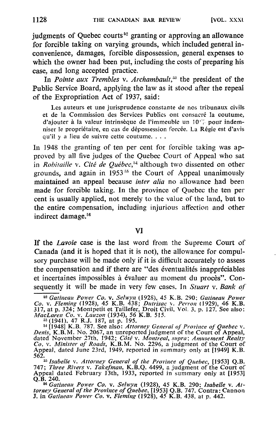indements of Ouebec courts<sup> $52$ </sup> granting or approving an allowance for forcible taking on varying grounds, which included general inconvenience, damages, forcible dispossession, general expenses to which the owner had been put, including the costs of preparing his case, and long accepted practice.

In Pointe aux Trembles v. Archambault,<sup>53</sup> the president of the Public Service Board, applying the law as it stood after the repeal of the Expropriation Act of 1937, said :

Les auteurs et une jurisprudence constante de nos tribunaux civils et de la Commission des Services Publics ont consacré la coutume, d'ajouter à la valeur intrinsèque de l'immeuble un  $10^{17}$  pour indemniser le propriétaire, en cas de dépossession forcée. La Régie est d'avis qu'il <sup>y</sup> <sup>a</sup> lieu de suivre cette coutume. . . .

In 1948 the granting of ten per cent for forcible taking was approved by all five judges of the Quebec Court of Appeal who sat in Robitaille v. Cité de Ouébec,<sup>54</sup> although two dissented on other grounds, and again in  $1953<sup>55</sup>$  the Court of Appeal unanimously maintained an appeal because *inter alia* no allowance had been made for forcible taking. In the province of Quebec the ten per cent is usually applied, not merely to the value of the land, but to the entire compensation, including injurious affection and other indirect damage.<sup>56</sup>

### VI

If the *Lavoie* case is the last word from the Supreme Court of Canada (and it is hoped that it is not), the allowance for compulsory purchase will be made only if it is difficult accurately to assess the compensation and if there are "des éventualités inappréciables et incertaines impossibles â évaluer au moment du procès". Consequently it will be made in very few cases. In Stuart v. Bank of

 $\frac{52}{100}$  Gatineau Power Co. v. Selwyn (1928), 45 K.B. 290; Gatineau Power<br>y. Eleming (1928), 45 K.B. 438; Dutrisce y. Barroy (1929), 46 K.B. Co. v. Fleming (1928), 45 K.B. 438; Dutrisac v. Perron (1929), 46 K.B.<br>317, at p. 324; Montpetit et Taillefer, Droit Civil, Vol. 3, p. 127. See also:<br>*MacLaren Co. v. Lauzon* (1934), 56 K.B. 515.<br><sup>83</sup> (1941), 47 R.J. 187,

<sup>&</sup>lt;sup>54</sup> [1948] K.B. 787. See also: Attorney General of Province of Quebec v.<br>Denis, K.B.M. No. 2067, an unreported judgment of the Court of Appeal,<br>dated November 27th, 1942; Côté v. Montreal, supra; Amusement Realty<br>Co. v. Appeal, dated June 23rd, 1949, reported in summary only at [1949] K.B.<br>562

<sup>562.</sup> <sup>55</sup> Isabelle v. Attorney General of the Province of Quebec, [1953] Q.B. <sup>747</sup> ; Three Rivers v. Takefnaan, K.B.Q. 4499, <sup>a</sup> judgment of the Court of Appeal dated February 13th, 1933, reported in summary only at [1953] Q.B. 240.

<sup>&</sup>lt;sup>56</sup> Gatineau Power Co. v. Selwyn (1928), 45 K.B. 290; Isabelle v. At-<br>torney General of the Province of Quebec, [1953] Q.B. 747. Contra: Cannon J. in Gatineau Power Co. v. Fleming (1928), 45 K.B. 438, at p. 442.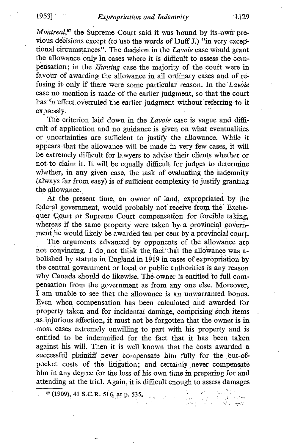$Montreal<sub>57</sub>$  the Supreme Court said it was bound by its own previous decisions except (to use the words of Duff J.) "in very exceptional circumstances". The decision in the Lavoie case would grant the allowance only in cases where it is difficult to assess the. compensation; in the *Hunting* case the majority of the court were in favour of awarding the allowance in all ordinary cases and of refusing it only if there were some particular reason. In the Lavoie case no mention is made of the earlier judgment, so that the' court has in effect overruled the earlier judgment without referring-to it expressly.

The criterion laid down in the Lavoie case is vague and difficult of application and no guidance is given on what eventualities or uncertainties are sufficient to justify the allowance . While it appears that the allowance will be made in very few cases, it will be extremely difficult for lawyers to advise their clients whether or not to claim it. It will be equally difficult for judges to determine whether, in any given case, the task of evaluating the indemnity (always far from easy) is of sufficient complexity to justify granting the allowance.

At the present time, an owner of land, expropriated by the federal government, would probably not receive from the Exchequer Court or Supreme Court compensation for forcible taking, whereas if the same property were taken by, a provincial government he would likely be awarded ten per cent by a provincial court.

The arguments advanced by opponents of the allowance are not convincing. I do not think the fact that the allowance was abolished by statute in England in 1919 in cases of expropriation by the central government or local or public authorities is any reason why Canada should do likewise. The. owner is entitled to full compensation from the government as from any one else. Moreover, <sup>I</sup> am unable to see that the allowance is an unwarranted bonus. Even when compensation has been calculated and awarded for property taken and for incidental damage, comprising such items as injurious affection, it must not be forgotten that the owner is in most cases extremely unwilling to part with his property and is entitled to be indemnified for the fact that it has been taken against his will. Then it is well known that the costs awarded a successful plaintiff never compensate him fully for the out-ofpocket costs of the litigation; and certainly never compensate him in any degree for the loss of his own time in preparing for and attending at the trial. Again, it is difficult enough to assess damages

 $\frac{157}{1909}$ , 41 S.C.R, 516, at p. 535,

도로 오리<br>인증: 1